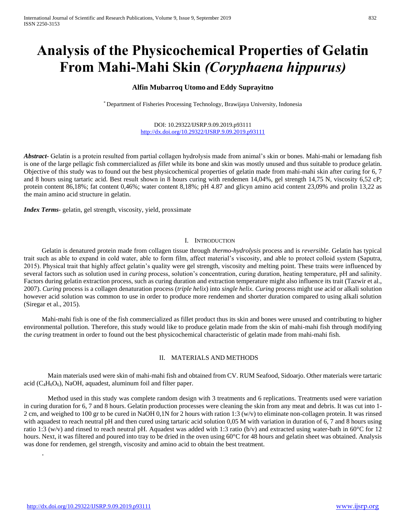# **Analysis of the Physicochemical Properties of Gelatin From Mahi-Mahi Skin** *(Coryphaena hippurus)*

# **Alfin Mubarroq Utomo and Eddy Suprayitno**

\* Department of Fisheries Processing Technology, Brawijaya University, Indonesia

#### DOI: 10.29322/IJSRP.9.09.2019.p93111 <http://dx.doi.org/10.29322/IJSRP.9.09.2019.p93111>

*Abstract***-** Gelatin is a protein resulted from partial collagen hydrolysis made from animal's skin or bones. Mahi-mahi or lemadang fish is one of the large pellagic fish commercialized as *fillet* while its bone and skin was mostly unused and thus suitable to produce gelatin. Objective of this study was to found out the best physicochemical properties of gelatin made from mahi-mahi skin after curing for 6, 7 and 8 hours using tartaric acid. Best result shown in 8 hours curing with rendemen 14,04%, gel strength 14,75 N, viscosity 6,52 cP; protein content 86,18%; fat content 0,46%; water content 8,18%; pH 4.87 and glicyn amino acid content 23,09% and prolin 13,22 as the main amino acid structure in gelatin.

*Index Terms*- gelatin, gel strength, viscosity, yield, proxsimate

## I. INTRODUCTION

Gelatin is denatured protein made from collagen tissue through *thermo-hydrolysis* process and is *reversible*. Gelatin has typical trait such as able to expand in cold water, able to form film, affect material's viscosity, and able to protect colloid system (Saputra, 2015). Physical trait that highly affect gelatin's quality were gel strength, viscosity and melting point. These traits were influenced by several factors such as solution used in *curing* process, solution's concentration, curing duration, heating temperature, pH and salinity. Factors during gelatin extraction process, such as curing duration and extraction temperature might also influence its trait (Tazwir et al., 2007). *Curing* process is a collagen denaturation process (*triple helix*) into *single helix*. *Curing* process might use acid or alkali solution however acid solution was common to use in order to produce more rendemen and shorter duration compared to using alkali solution (Siregar et al., 2015).

Mahi-mahi fish is one of the fish commercialized as fillet product thus its skin and bones were unused and contributing to higher environmental pollution. Therefore, this study would like to produce gelatin made from the skin of mahi-mahi fish through modifying the *curing* treatment in order to found out the best physicochemical characteristic of gelatin made from mahi-mahi fish.

## II. MATERIALS AND METHODS

Main materials used were skin of mahi-mahi fish and obtained from CV. RUM Seafood, Sidoarjo. Other materials were tartaric acid ( $C_4H_6O_6$ ), NaOH, aquadest, aluminum foil and filter paper.

Method used in this study was complete random design with 3 treatments and 6 replications. Treatments used were variation in curing duration for 6, 7 and 8 hours. Gelatin production processes were cleaning the skin from any meat and debris. It was cut into 1- 2 cm, and weighed to 100 gr to be cured in NaOH 0,1N for 2 hours with ration 1:3 (w/v) to eliminate non-collagen protein. It was rinsed with aquadest to reach neutral pH and then cured using tartaric acid solution 0,05 M with variation in duration of 6,7 and 8 hours using ratio 1:3 (w/v) and rinsed to reach neutral pH. Aquadest was added with 1:3 ratio (b/v) and extracted using water-bath in 60 $\degree$ C for 12 hours. Next, it was filtered and poured into tray to be dried in the oven using 60°C for 48 hours and gelatin sheet was obtained. Analysis was done for rendemen, gel strength, viscosity and amino acid to obtain the best treatment.

.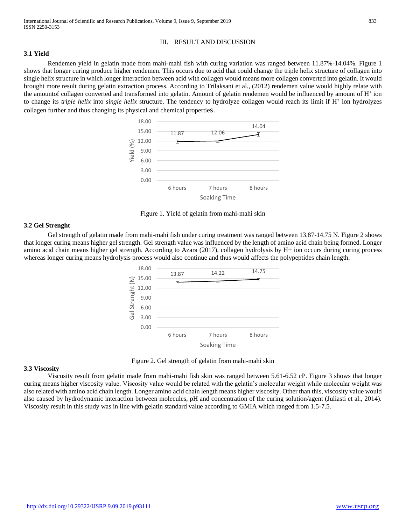## III. RESULT AND DISCUSSION

## **3.1 Yield**

Rendemen yield in gelatin made from mahi-mahi fish with curing variation was ranged between 11.87%-14.04%. Figure 1 shows that longer curing produce higher rendemen. This occurs due to acid that could change the triple helix structure of collagen into single helix structure in which longer interaction between acid with collagen would means more collagen converted into gelatin. It would brought more result during gelatin extraction process. According to Trilaksani et al., (2012) rendemen value would highly relate with the amountof collagen converted and transformed into gelatin. Amount of gelatin rendemen would be influenced by amount of H<sup>+</sup> ion to change its *triple helix* into *single helix* structure. The tendency to hydrolyze collagen would reach its limit if H<sup>+</sup> ion hydrolyzes collagen further and thus changing its physical and chemical properties.



Figure 1. Yield of gelatin from mahi-mahi skin

## **3.2 Gel Strenght**

Gel strength of gelatin made from mahi-mahi fish under curing treatment was ranged between 13.87-14.75 N. Figure 2 shows that longer curing means higher gel strength. Gel strength value was influenced by the length of amino acid chain being formed. Longer amino acid chain means higher gel strength. According to Azara (2017), collagen hydrolysis by H+ ion occurs during curing process whereas longer curing means hydrolysis process would also continue and thus would affects the polypeptides chain length.



Figure 2. Gel strength of gelatin from mahi-mahi skin

## **3.3 Viscosity**

Viscosity result from gelatin made from mahi-mahi fish skin was ranged between 5.61-6.52 cP. Figure 3 shows that longer curing means higher viscosity value. Viscosity value would be related with the gelatin's molecular weight while molecular weight was also related with amino acid chain length. Longer amino acid chain length means higher viscosity. Other than this, viscosity value would also caused by hydrodynamic interaction between molecules, pH and concentration of the curing solution/agent (Juliasti et al., 2014). Viscosity result in this study was in line with gelatin standard value according to GMIA which ranged from 1.5-7.5.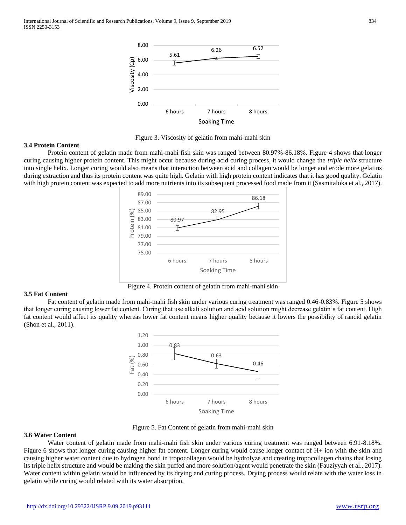

Figure 3. Viscosity of gelatin from mahi-mahi skin

## **3.4 Protein Content**

Protein content of gelatin made from mahi-mahi fish skin was ranged between 80.97%-86.18%. Figure 4 shows that longer curing causing higher protein content. This might occur because during acid curing process, it would change the *triple helix* structure into single helix. Longer curing would also means that interaction between acid and collagen would be longer and erode more gelatins during extraction and thus its protein content was quite high. Gelatin with high protein content indicates that it has good quality. Gelatin with high protein content was expected to add more nutrients into its subsequent processed food made from it (Sasmitaloka et al., 2017).



Figure 4. Protein content of gelatin from mahi-mahi skin

# **3.5 Fat Content**

Fat content of gelatin made from mahi-mahi fish skin under various curing treatment was ranged 0.46-0.83%. Figure 5 shows that longer curing causing lower fat content. Curing that use alkali solution and acid solution might decrease gelatin's fat content. High fat content would affect its quality whereas lower fat content means higher quality because it lowers the possibility of rancid gelatin (Shon et al., 2011).



Figure 5. Fat Content of gelatin from mahi-mahi skin

# **3.6 Water Content**

Water content of gelatin made from mahi-mahi fish skin under various curing treatment was ranged between 6.91-8.18%. Figure 6 shows that longer curing causing higher fat content. Longer curing would cause longer contact of H+ ion with the skin and causing higher water content due to hydrogen bond in tropocollagen would be hydrolyze and creating tropocollagen chains that losing its triple helix structure and would be making the skin puffed and more solution/agent would penetrate the skin (Fauziyyah et al., 2017). Water content within gelatin would be influenced by its drying and curing process. Drying process would relate with the water loss in gelatin while curing would related with its water absorption.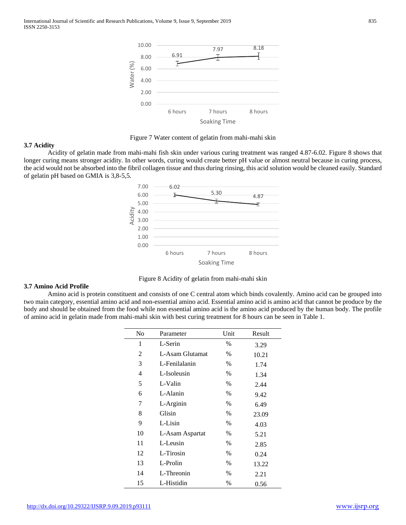

Figure 7 Water content of gelatin from mahi-mahi skin

#### **3.7 Acidity**

Acidity of gelatin made from mahi-mahi fish skin under various curing treatment was ranged 4.87-6.02. Figure 8 shows that longer curing means stronger acidity. In other words, curing would create better pH value or almost neutral because in curing process, the acid would not be absorbed into the fibril collagen tissue and thus during rinsing, this acid solution would be cleaned easily. Standard of gelatin pH based on GMIA is 3,8-5,5.



Figure 8 Acidity of gelatin from mahi-mahi skin

## **3.7 Amino Acid Profile**

Amino acid is protein constituent and consists of one C central atom which binds covalently. Amino acid can be grouped into two main category, essential amino acid and non-essential amino acid. Essential amino acid is amino acid that cannot be produce by the body and should be obtained from the food while non essential amino acid is the amino acid produced by the human body. The profile of amino acid in gelatin made from mahi-mahi skin with best curing treatment for 8 hours can be seen in Table 1.

| No | Parameter       | Unit          | Result |
|----|-----------------|---------------|--------|
| 1  | L-Serin         | $\%$          | 3.29   |
| 2  | L-Asam Glutamat | $\%$          | 10.21  |
| 3  | L-Fenilalanin   | $\%$          | 1.74   |
| 4  | L-Isoleusin     | $\%$          | 1.34   |
| 5  | L-Valin         | $\%$          | 2.44   |
| 6  | L-Alanin        | $\%$          | 9.42   |
| 7  | L-Arginin       | $\%$          | 6.49   |
| 8  | Glisin          | $\%$          | 23.09  |
| 9  | L-Lisin         | $\frac{0}{0}$ | 4.03   |
| 10 | L-Asam Aspartat | $\%$          | 5.21   |
| 11 | L-Leusin        | $\%$          | 2.85   |
| 12 | L-Tirosin       | $\%$          | 0.24   |
| 13 | L-Prolin        | $\%$          | 13.22  |
| 14 | L-Threonin      | %             | 2.21   |
| 15 | L-Histidin      | $\frac{0}{0}$ | 0.56   |